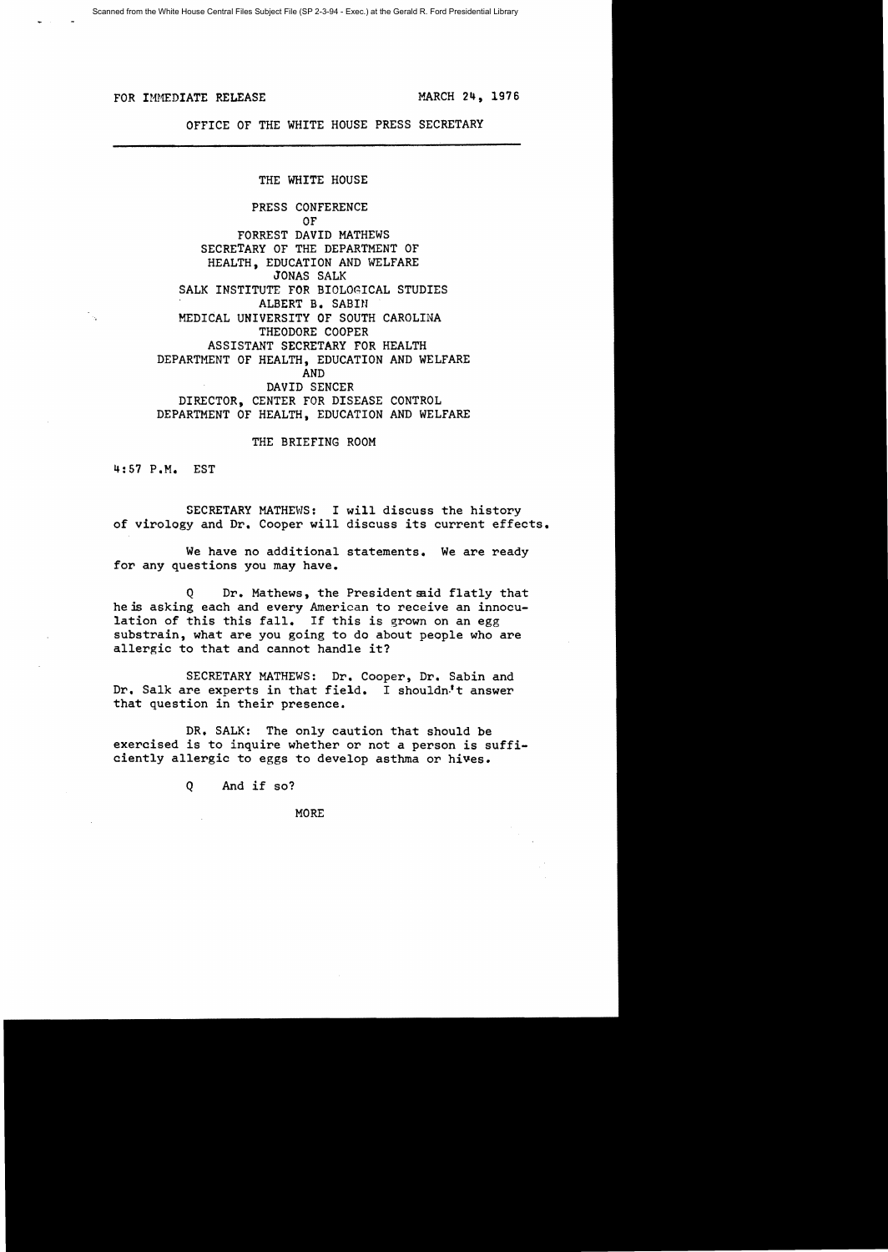FOR IMMEDIATE RELEASE **for a state of the MARCH 24, 1976** 

OFFICE OF THE WHITE HOUSE PRESS SECRETARY

THE WHITE HOUSE

PRESS CONFERENCE OF FORREST DAVID MATHEWS SECRETARY OF THE DEPARTMENT OF HEALTH, EDUCATION AND WELFARE JONAS SALK SALK INSTITUTE FOR BIOLOGICAL STUDIES ALBERT B. SABIN MEDICAL UNIVERSITY OF SOUTH CAROLINA THEODORE COOPER ASSISTANT SECRETARY FOR HEALTH DEPARTMENT OF HEALTH, EDUCATION AND WELFARE AND DAVID SENCER DIRECTOR, CENTER FOR DISEASE CONTROL DEPARTMENT OF HEALTH, EDUCATION AND WELFARE

THE BRIEFING ROOM

4:57 P.M. EST

SECRETARY MATHEWS: I will discuss the history of virology and Dr. Cooper will discuss its current effects.

We have no additional statements. We are ready for any questions you may have.

Q Dr. Mathews, the President said flatly that he is asking each and every American to receive an innoculation of this this fall. If this is grown on an egg substrain, what are you going to do about people who are allergic to that and cannot handle it?

SECRETARY MATHEWS: Dr. Cooper, Dr. Sabin and Dr. Salk are experts in that field. I shouldn't answer that question in their presence.

DR. SALK: The only caution that should be exercised is to inquire whether or not a person is sufficiently allergic to eggs to develop asthma or hives.

Q And if so?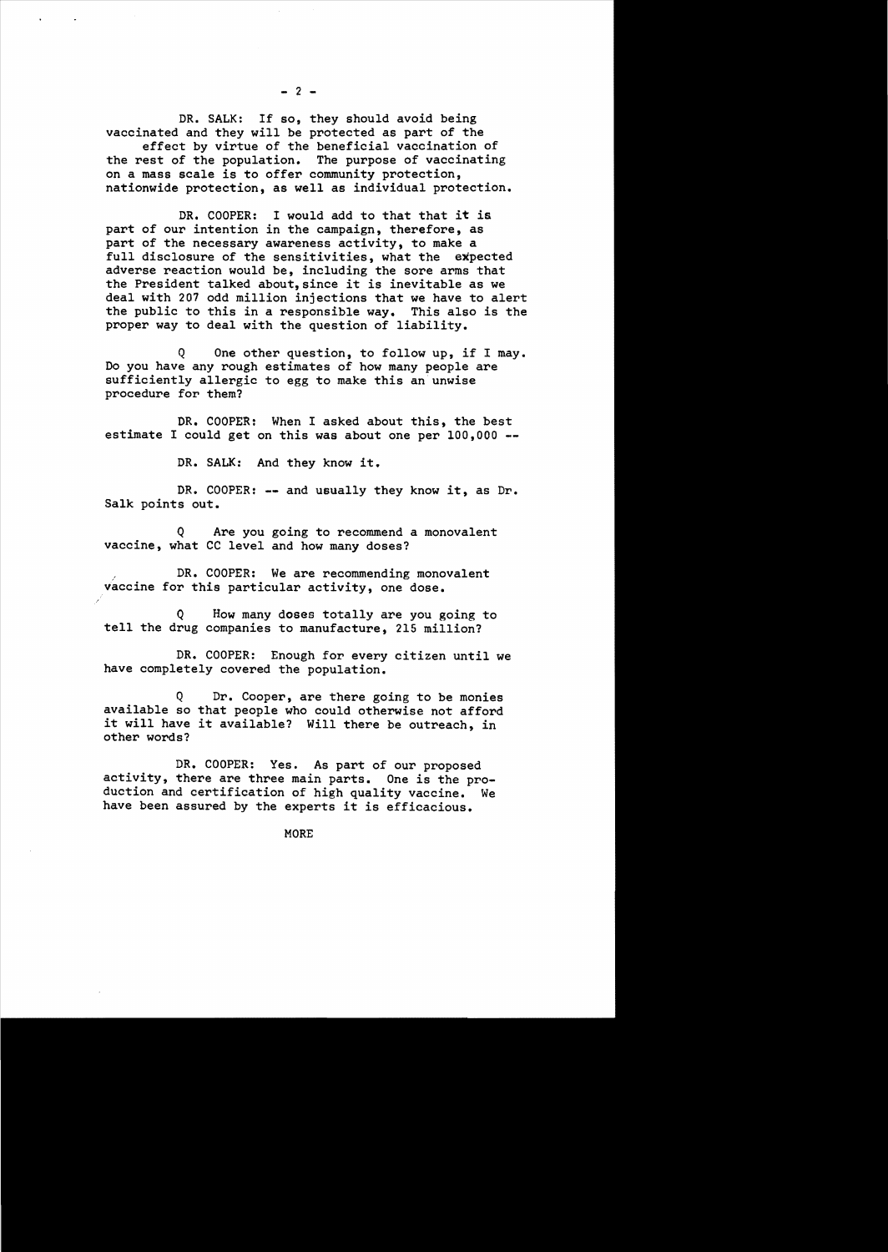DR. SALK: If so, they should avoid being vaccinated and they will be protected as part of the effect by virtue of the beneficial vaccination of the rest of the population. The purpose of vaccinating on a mass scale is to offer community protection, nationwide protection, as well as individual protection.

DR. COOPER: I would add to that that it is part of our intention in the campaign, therefore, as part of the necessary awareness activity, to make a full disclosure of the sensitivities, what the expected adverse reaction would be, including the sore arms that the President talked about, since it is inevitable as we deal with 207 odd million injections that we have to alert the public to this in a responsible way. This also is the proper way to deal with the question of liability.

Q One other question, to follow up, if I may. Do you have any rough estimates of how many people are sufficiently allergic to egg to make this an unwise procedure for them?

DR. COOPER: When I asked about this, the best estimate I could get on this was about one per 100,000 **-**

DR. SALK: And they know it.

DR. COOPER: -- and usually they know it, as Dr. Salk points out.

Q Are you going to recommend a monovalent vaccine, what CC level and how many doses?

DR. COOPER: We are recommending monovalent vaccine for this particular activity, one dose.

Q How many doses totally are you going to tell the drug companies to manufacture, 215 million?

DR. COOPER: Enough for every citizen until we have completely covered the population.

Dr. Cooper, are there going to be monies available so that people who could otherwise not afford it will have it available? Will there be outreach, in other words?

DR. COOPER: Yes. As part of our proposed activity, there are three main parts. One is the production and certification of high quality vaccine. We have been assured by the experts it is efficacious.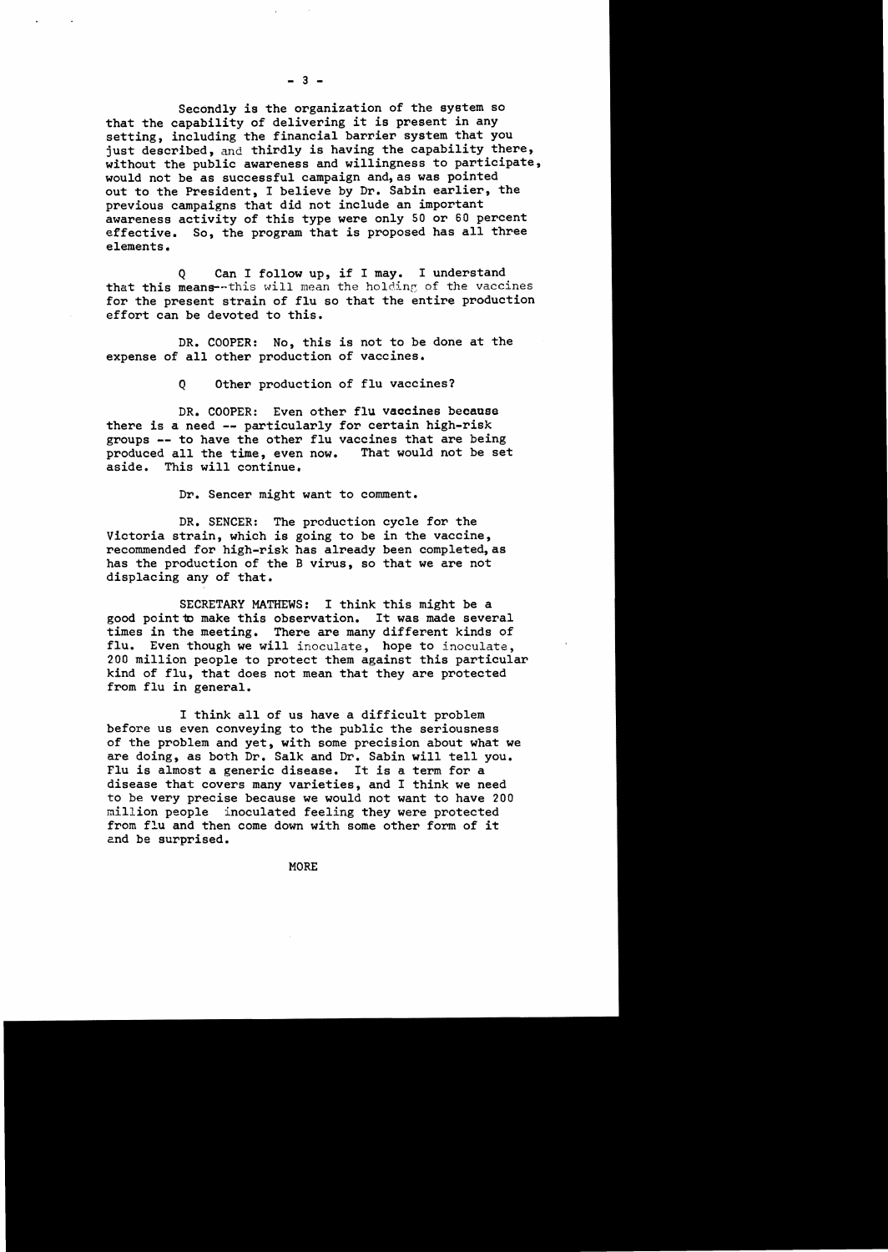Secondly is the organization of the system so that the capability of delivering it is present in any setting, including the financial barrier system that you just described, and thirdly is having the capability there, without the public awareness and willingness to participate, would not be as successful campaign and, as was pointed out to the President, I believe by Dr. Sabin earlier, the previous campaigns that did not include an important awareness activity of this type were only 50 or 60 percent effective. So, the program that is proposed has all three elements.

Q Can I follow up, if I may. I understand that this means--this will mean the holding of the vaccines for the present strain of flu so that the entire production effort can be devoted to this.

DR. COOPER: No, this is not to be done at the expense of all other production of vaccines.

Q Other production of flu vaccines?

DR. COOPER: Even other flu vaccines because there is a need **--** particularly for certain high-risk groups -- to have the other flu vaccines that are being<br>produced all the time, even now. That would not be set produced all the time, even now.<br>aside. This will continue. This will continue.

Dr. Sencer might want to comment.

DR. SENCER: The production cycle for the Victoria strain, which is going to be in the vaccine, recommended for high-risk has already been completed, as has the production of the B virus, so that we are not displacing any of that.

SECRETARY MATHEWS: I think this might be a good point to make this observation. It was made several times in the meeting. There are many different kinds of flu. Even though we will inoculate, hope to inoculate, 200 million people to protect them against this particular kind of flu, that does not mean that they are protected from flu in general.

I think all of us have a difficult problem before us even conveying to the public the seriousness of the problem and yet, with some precision about what we are doing, as both Dr. Salk and Dr. Sabin will tell you. Flu is almost a generic disease. It is a term for a disease that covers many varieties, and I think we need to be very precise because we would not want to have 200 million people inoculated feeling they were protected from flu and then come down with some other form of it end be surprised.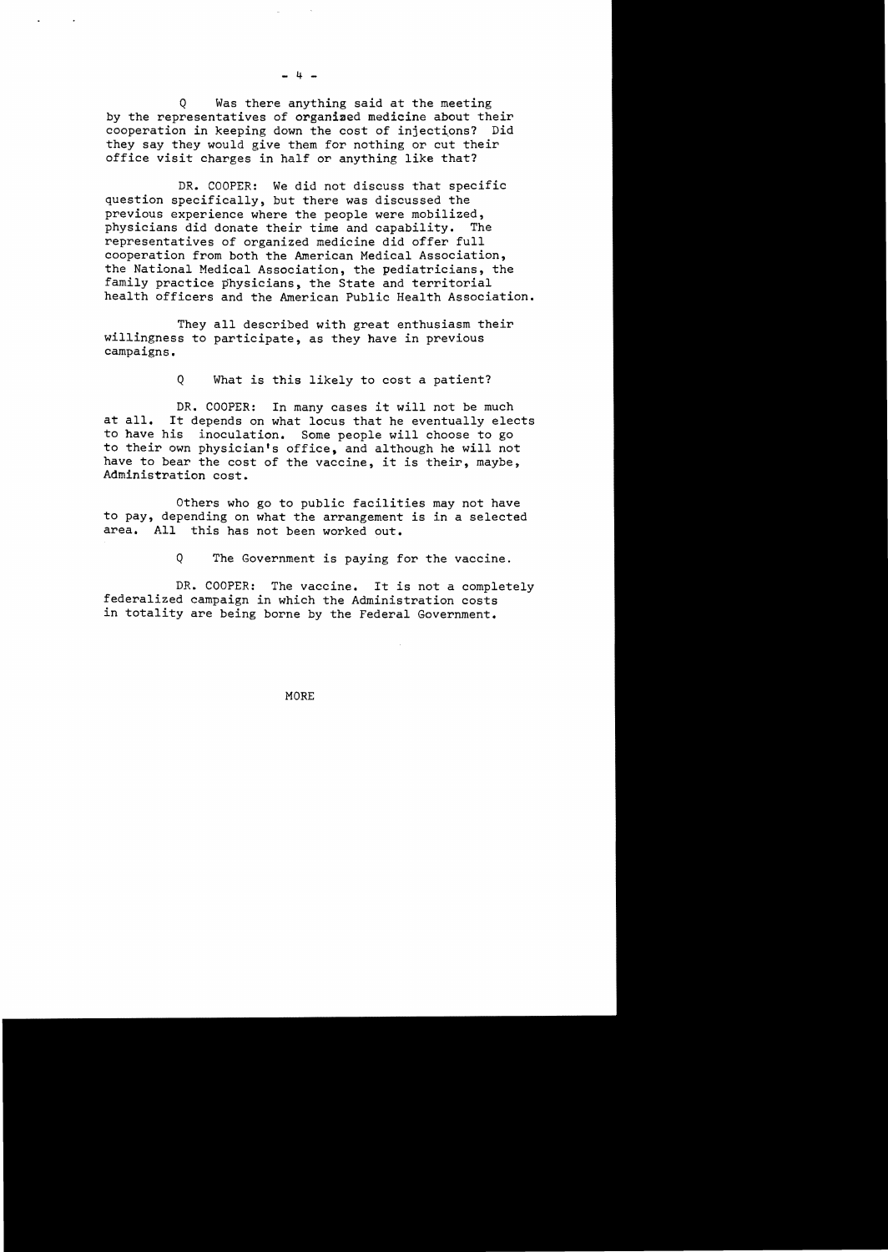Q Was there anything said at the meeting by the representatives of organiaed medicine about their cooperation in keeping down the cost of injections? Did they say they would give them for nothing or cut their office visit charges *in* half or anything like that?

DR. COOPER: We did not discuss that specific question specifically, but there was discussed the previous experience where the people were mobilized, physicians did donate their time and capability. The representatives of organized medicine did offer full cooperation from both the American Medical Association, the National Medical Association, the pediatricians, the family practice physicians, the State and territorial health officers and the American Public Health Association.

They all described with great enthusiasm their willingness to participate, as they have *in* previous campaigns.

<sup>Q</sup>What is this likely to cost a patient?

DR. COOPER: In many cases it will not be much at all. It depends on what locus that he eventually elects to have his inoculation. Some people will choose to go to their own physician's office, and although he will not have to bear the cost of the vaccine, it is their, maybe, Administration cost.

Others who go to public facilities may not have to pay, depending on what the arrangement is in a selected area. All this has not been worked out.

Q The Government is paying for the vaccine.

DR. COOPER: The vaccine. It is not a completely federalized campaign *in* which the Administration costs *in* totality are being borne by the Federal Government.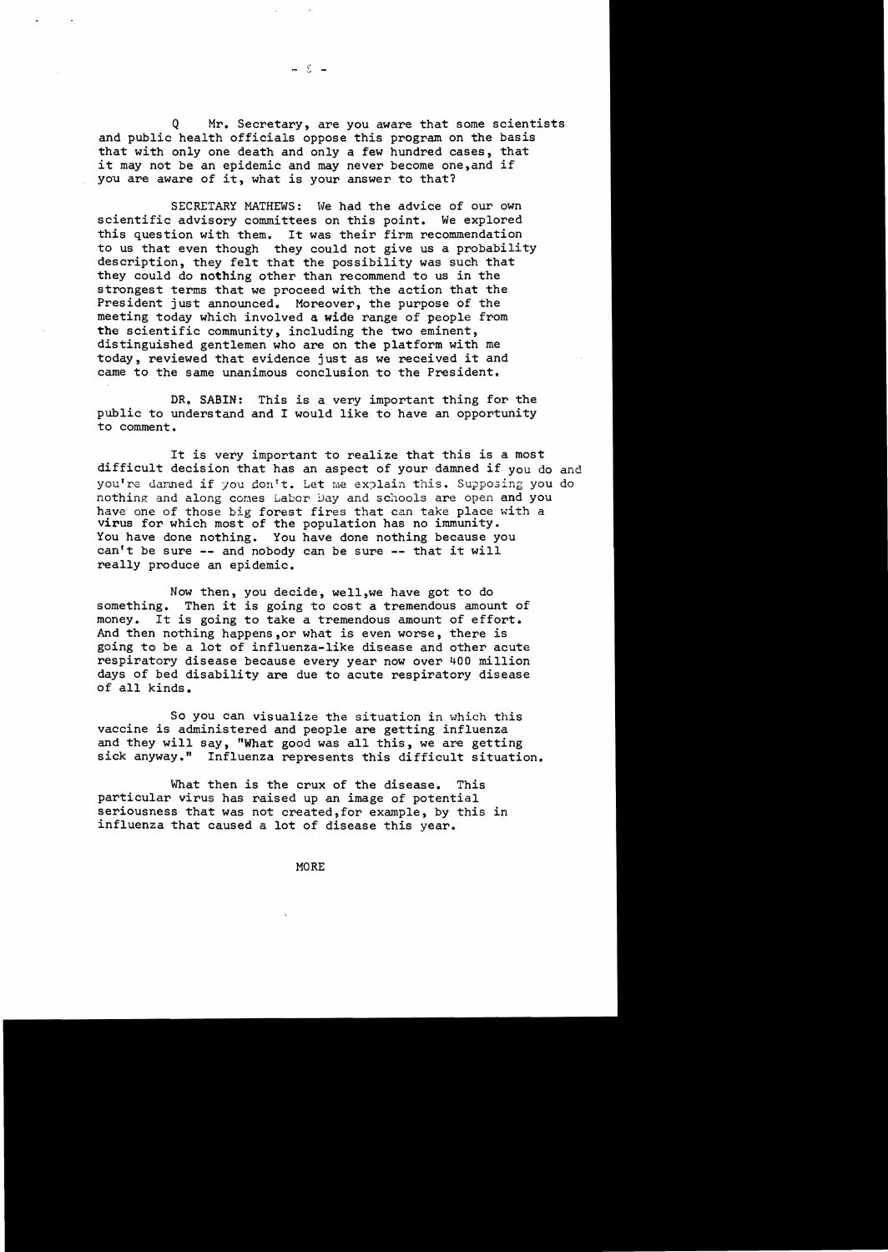Q Mr. Secretary, are you aware that some scientists and public health officials oppose this program on the basis that with only one death and only a few hundred cases, that it may not be an epidemic and may never become one,and if you are aware of it, what is your answer to that?

i. v

SECRETARY MATHEWS: We had the advice of our own scientific advisory committees on this point. We explored this question with them. It was their firm recommendation to us that even though they could not give us a probability description, they felt that the possibility was such that they could do nothing other than recommend to us in the strongest terms that we proceed with the action that the President just announced. Moreover, the purpose of the meeting today which involved a wide range of people from the scientific community, including the two eminent, distinguished gentlemen who are on the platform with me today, reviewed that evidence just as we received it and came to the same unanimous conclusion to the President.

DR. SABIN: This is a very important thing for the public to understand and I would like to have an opportunity to comment.

It is very important to realize that this is a most difficult decision that has an aspect of your damned if you do and you're damned if you don't. Let me explain this. Supposing you do nothing and along comes Labor Day and schools are open and you have one of those big forest fires that can take place with a virus for which most of the population has no immunity. You have done nothing. You have done nothing because you cantt be sure **--** and nobody can be sure **--** that it will really produce an epidemic.

Now then, you decide, well, we have got to do something. Then it is going to cost a tremendous amous Then it is going to cost a tremendous amount of money. It is going to take a tremendous amount of effort. And then nothing happens,or what is even worse, there is going to be a lot of influenza-like disease and other acute respiratory disease because every year now over 400 million days of bed disability are due to acute respiratory disease of all kinds.

So you can visualize the situation in which this vaccine is administered and people are getting influenza and they will say, "What good was all this, we are getting sick anyway." Influenza represents this difficult situation.

What then is the crux of the disease. This particular virus has raised up an image of potential seriousness that was not created, for example, by this in influenza that caused a lot of disease this year.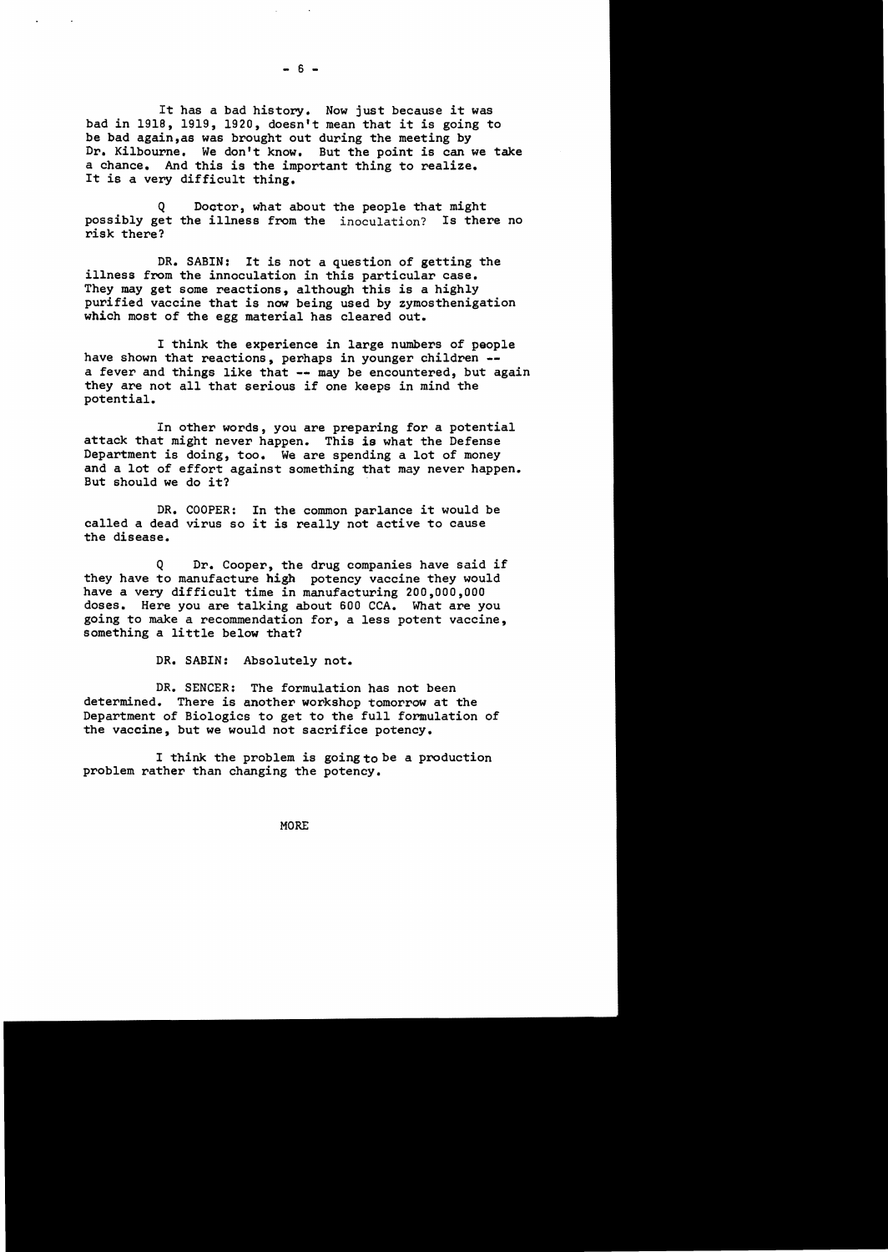It has a bad history. Now just because it was bad in 1918, 1919, 1920, doesn't mean that it is going to be bad again,as was brought out during the meeting by Dr. Kilbourne. We don't know. But the point is can we take a chance. And this is the important thing to realize. It is a very difficult thing.

Q Doctor, what about the people that might possibly get the illness from the inoculation? Is there no risk there?

DR. SABIN: It is not a question of getting the illness from the innoculation in this particular case. They may get some reactions, although this is a highly purified vaccine that is now being used by zymosthenigation which most of the egg material has cleared out.

I think the experience in large numbers of people have shown that reactions, perhaps in younger children -a fever and things like that -- may be encountered, but again they are not all that serious if one keeps in mind the potential.

In other words, you are preparing for a potential attack that might never happen. This is what the Defense Department is doing, too. We are spending a lot of money and a lot of effort against something that may never happen. But should we do it?

DR. COOPER: In the common parlance it would be called a dead virus so it is really not active to cause the disease.

Q Dr. Cooper, the drug companies have said if they have to manufacture high potency vaccine they would have a very difficult time in manufacturing 200,000,000 doses. Here you are talking about 600 CCA. What are you going to make a recommendation for, a less potent vaccine, something a little below that?

DR. SABIN: Absolutely not.

DR. SENCER: The formulation has not been determined. There is another workshop tomorrow at the Department of Biologics to get to the full formulation of the vaccine, but we would not sacrifice potency.

I think the problem is going to be a production problem rather than changing the potency.

MORE

 $- 6 -$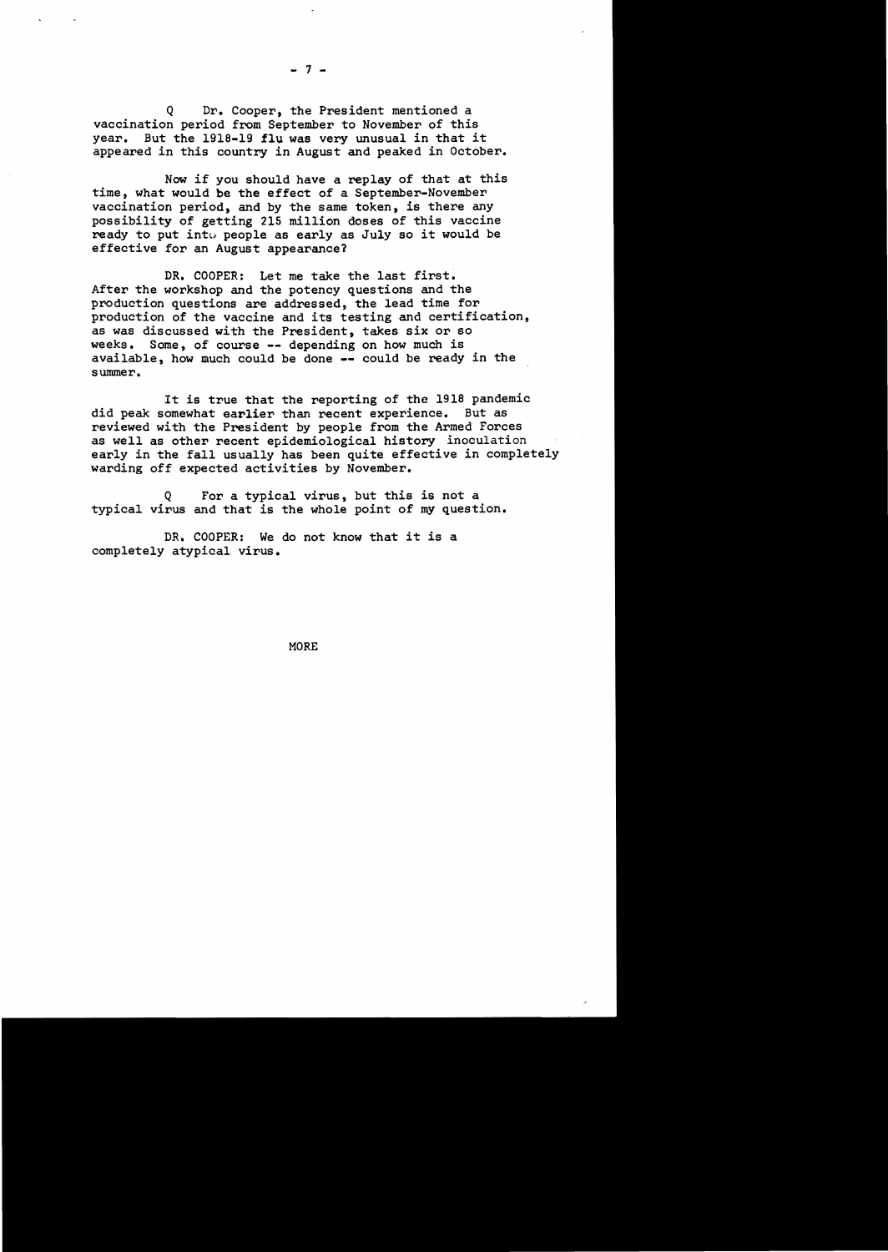Dr. Cooper, the President mentioned a vaccination period from September to November of this year. But the 1918-19 **flu** was very unusual in that it appeared in this country in August and peaked in October.

Now if you should have a replay of that at this time, what would be the effect of a September-November vaccination period, and by the same token, is there any possibility of getting 215 million doses of this vaccine ready to put into people as early as July so it would be effective for an August appearance?

DR. COOPER: Let me take the last first. After the workshop and the potency questions and the production questions are addressed, the lead time for production of the vaccine and its testing and certification, as was discussed with the President, takes six or so Some, of course -- depending on how much is available, how much could be done **--** could be ready in the summer.

It is true that the reporting of the 1918 pandemic<br>comewhat earlier than recent experience. But as did peak somewhat earlier than recent experience. reviewed with the President by people from the Armed Forces as well as other recent epidemiological history inoculation early in the fall usually has been quite effective in completely warding off expected activities by November.

Q For a typical virus, but this is not a typical virus and that is the whole point of my question.

DR. COOPER: We do not know that it is a completely atypical virus.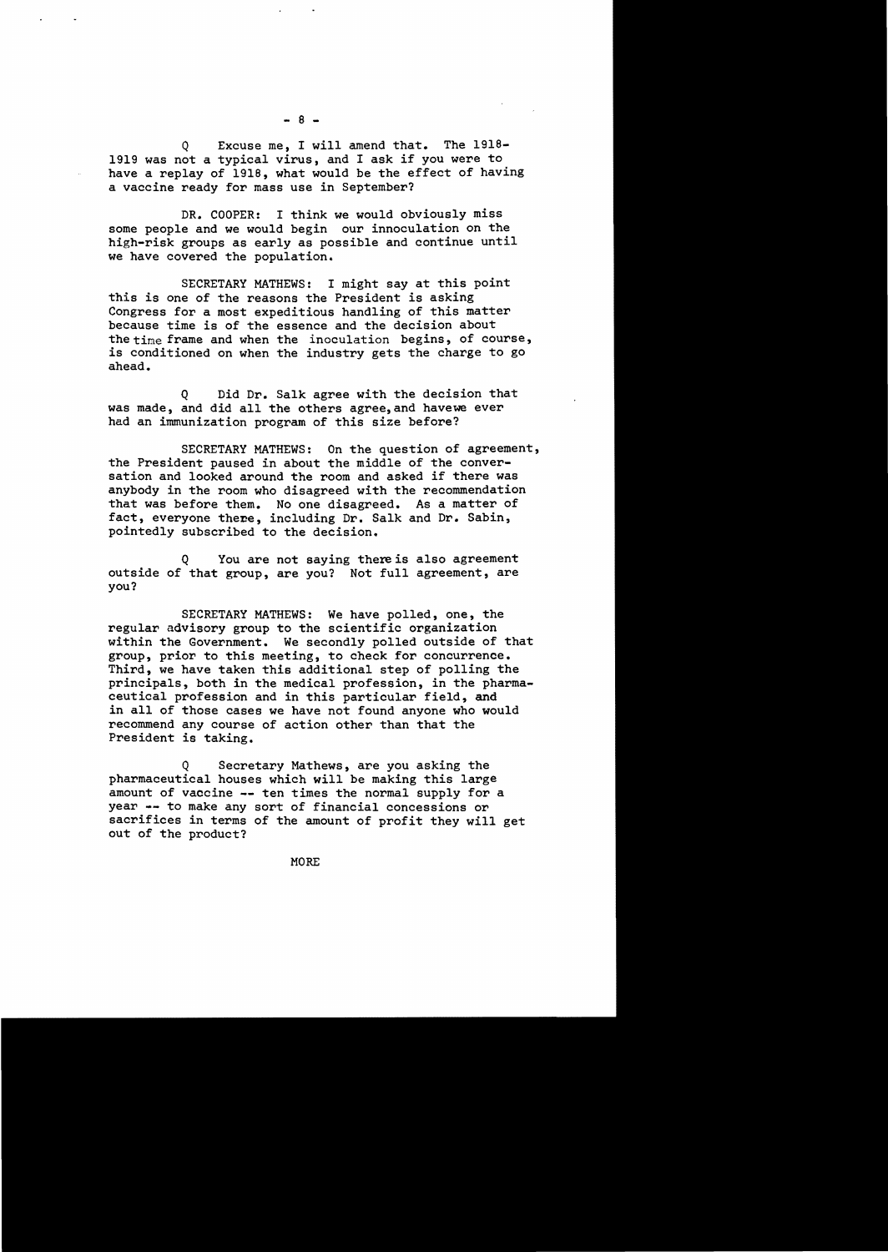Q Excuse me, I will amend that. The 1918 1919 was not a typical virus, and I ask if you were to have a replay of 1918, what would be the effect of having a vaccine ready for mass use in September?

DR. COOPER: I think we would obviously miss some people and we would begin our innoculation on the high-risk groups as early as possible and continue until we have covered the population.

SECRETARY MATHEWS: I might say at this point this is one of the reasons the President is asking Congress for a most expeditious handling of this matter because time is of the essence and the decision about the time frame and when the inoculation begins, of course, is conditioned on when the industry gets the charge to go ahead.

Q Did Dr. Salk agree with the decision that was made, and did all the others agree,and havewe ever had an immunization program of this size before?

SECRETARY MATHEWS: On the question of agreement, the President paused in about the middle of the conversation and looked around the room and asked if there was anybody in the room who disagreed with the recommendation that was before them. No one disagreed. As a matter of fact, everyone there, including Dr. Salk and Dr. Sabin, pointedly subscribed to the decision.

You are not saying there is also agreement outside of that group, are you? Not full agreement, are you?

SECRETARY MATHEWS: We have polled, one, the regular advisory group to the scientific organization within the Government. We secondly polled outside of that group, prior to this meeting, to check for concurrence. Third, we have taken this additional step of polling the principals, both in the medical profession, in the pharmaceutical profession and in this particular field, and in all of those cases we have not found anyone who would recommend any course of action other than that the President is taking.

Secretary Mathews, are you asking the pharmaceutical houses which will be making this large amount of vaccine -- ten times the normal supply for a year ~- to make any sort of financial concessions or sacrifices in terms of the amount of profit they will get out of the product?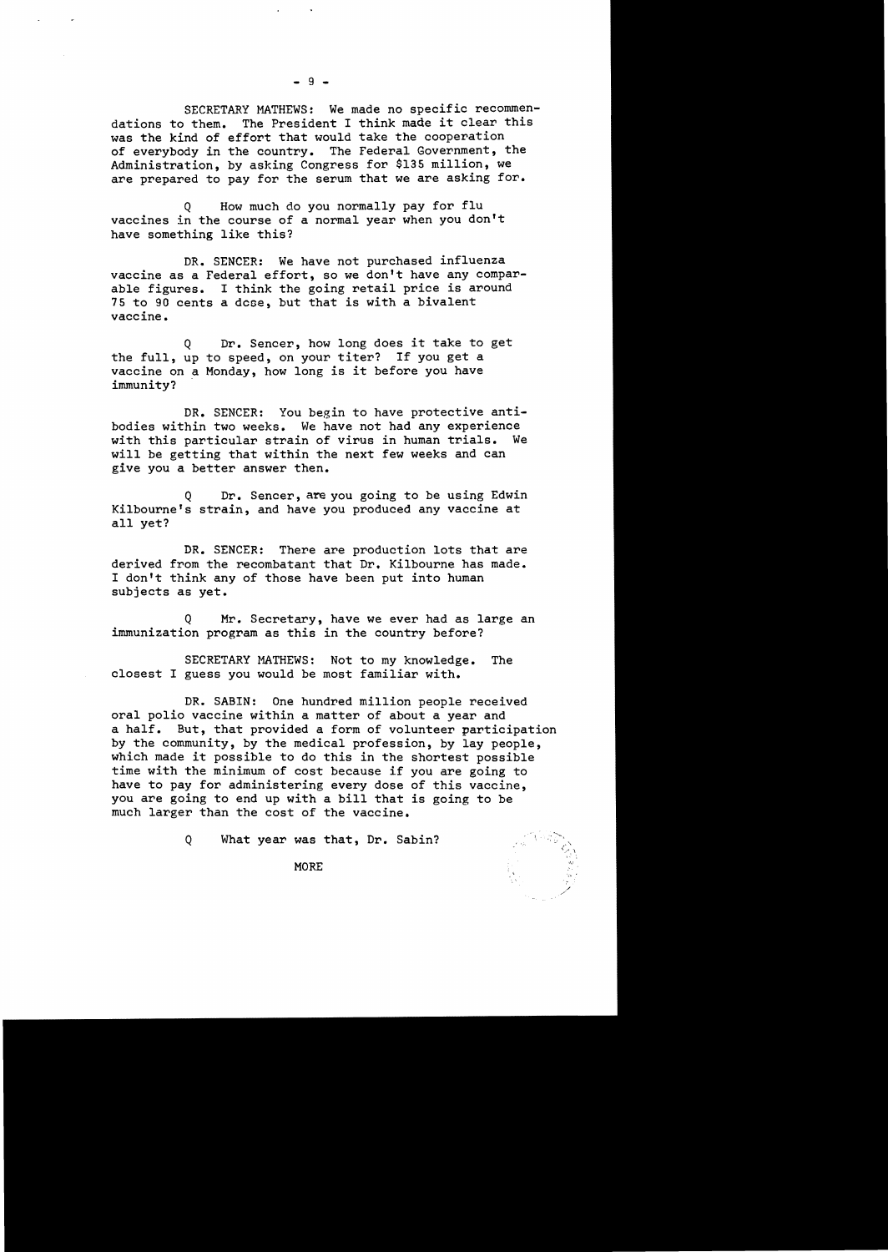SECRETARY MATHEWS: We made no specific recommendations to them. The President I think made it clear this was the kind of effort that would take the cooperation of everybody in the country. The Federal Government, the Administration, by asking Congress for \$135 million, we are prepared to pay for the serum that we are asking for.

Q How much do you normally pay for flu vaccines in the course of a normal year when you don't have something like this?

DR. SENCER: We have not purchased influenza vaccine as a Federal effort, so we don't have any comparable figures. I think the going retail price is around 75 to 90 cents a dcoe, but that is with a bivalent vaccine.

Q Dr. Sencer, how long does it take to get the full, up to speed, on your titer? If you get a vaccine on a Monday, how long is it before you have immunity?

DR. SENCER: You begin to have protective antibodies within two weeks. We have not had any experience with this particular strain of virus in human trials. We will be getting that within the next few weeks and can give you a better answer then.

Dr. Sencer, are you going to be using Edwin Kilbourne's strain, and have you produced any vaccine at all yet?

DR. SENCER: There are production lots that are derived from the recombatant that Dr. Kilbourne has made. I don't think any of those have been put into human subjects as yet.

Q Mr. Secretary, have we ever had as large an immunization program as this in the country before?

SECRETARY MATHEWS: Not to my knowledge. The closest I guess you would be most familiar with.

DR. SABIN: One hundred million people received oral polio vaccine within a matter of about a year and a half. But, that provided a form of volunteer participation by the community, by the medical profession, by lay people, which made it possible to do this in the shortest possible time with the minimum of cost because if you are going to have to pay for administering every dose of this vaccine, you are going to end up with a bill that is going to be much larger than the cost of the vaccine.

Q What year was that, Dr. Sabin?

 $\blacksquare$  MORE

 $-9 -$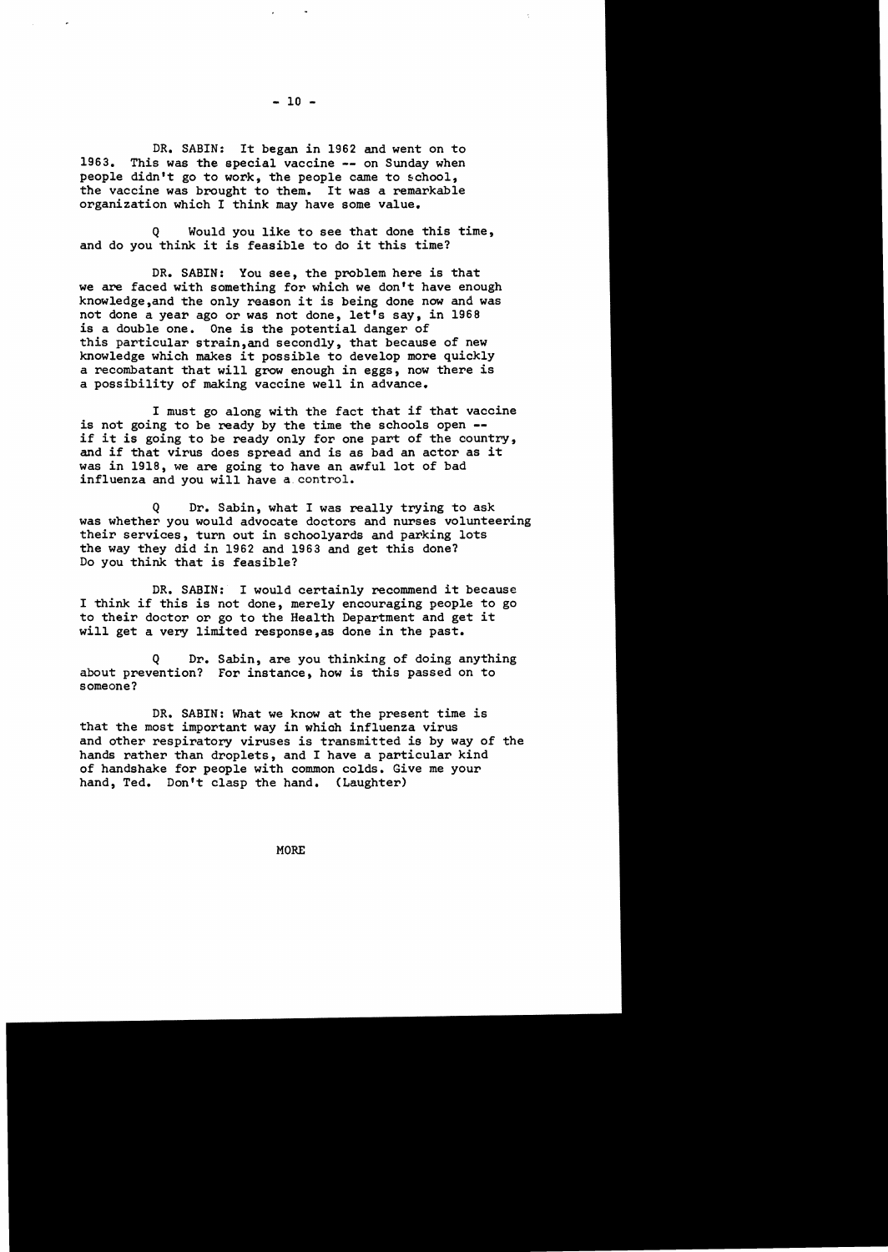DR. SABIN: It began in 1962 and went on to 1963. This was the special vaccine -- on Sunday when people didn't go to work, the people came to school, the vaccine was brought to them. It was a remarkable organization which I think may have some value.

Would you like to see that done this time, and do you think it is feasible to do it this time?

DR. SABIN: You see, the problem here is that we are faced with something for which we don't have enough know1edge,and the only reason it is being done now and was not done a year ago or was not done, let's say, in 1968 is a double one. One is the potential danger of this particular strain,and secondly, that because of new knowledge which makes it possible to develop more quickly a recombatant that will grow enough in eggs, now there is a possibility of making vaccine well in advance.

I must go along with the fact that if that vaccine<br>is not going to be ready by the time the schools open -if it is going to be ready only for one part of the country, and if that virus does spread and is as bad an actor as it was in 1918, we are going to have an awful lot of bad influenza and you will have a.contro1.

Q Dr. Sabin, what I was really trying to ask was whether you would advocate doctors and nurses volunteering their services, turn out in schoolyards and parking lots the way they did in 1962 and 1963 and get this done? Do you think that is feasible?

DR. SABIN: I would certainly recommend it because I think if this is not done, merely encouraging people to go to their doctor or go to the Health Department and get it will get a very limited response,as done in the past.

Q Dr. Sabin, are you thinking of doing anything about prevention? For instance, how is this passed on to someone?

DR. SABIN: What we know at the present time is that the most important way in which influenza virus and other respiratory viruses is transmitted is by way of the hands rather than droplets, and I have a particular kind of handshake for people with common colds. Give me your hand, Ted. Don't clasp the hand. (Laughter)